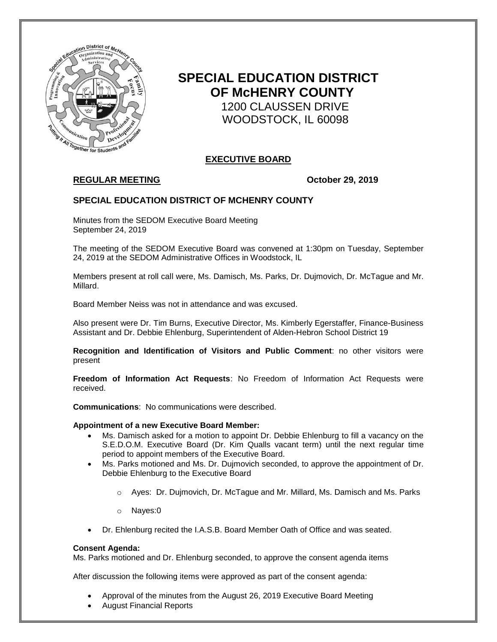

# **SPECIAL EDUCATION DISTRICT OF McHENRY COUNTY** 1200 CLAUSSEN DRIVE WOODSTOCK, IL 60098

# **EXECUTIVE BOARD**

# **REGULAR MEETING October 29, 2019**

## **SPECIAL EDUCATION DISTRICT OF MCHENRY COUNTY**

Minutes from the SEDOM Executive Board Meeting September 24, 2019

The meeting of the SEDOM Executive Board was convened at 1:30pm on Tuesday, September 24, 2019 at the SEDOM Administrative Offices in Woodstock, IL

Members present at roll call were, Ms. Damisch, Ms. Parks, Dr. Dujmovich, Dr. McTague and Mr. Millard.

Board Member Neiss was not in attendance and was excused.

Also present were Dr. Tim Burns, Executive Director, Ms. Kimberly Egerstaffer, Finance-Business Assistant and Dr. Debbie Ehlenburg, Superintendent of Alden-Hebron School District 19

**Recognition and Identification of Visitors and Public Comment**: no other visitors were present

**Freedom of Information Act Requests**: No Freedom of Information Act Requests were received.

**Communications**: No communications were described.

#### **Appointment of a new Executive Board Member:**

- Ms. Damisch asked for a motion to appoint Dr. Debbie Ehlenburg to fill a vacancy on the S.E.D.O.M. Executive Board (Dr. Kim Qualls vacant term) until the next regular time period to appoint members of the Executive Board.
- Ms. Parks motioned and Ms. Dr. Dujmovich seconded, to approve the appointment of Dr. Debbie Ehlenburg to the Executive Board
	- $\circ$  Ayes: Dr. Dujmovich, Dr. McTague and Mr. Millard, Ms. Damisch and Ms. Parks
	- o Nayes:0
- Dr. Ehlenburg recited the I.A.S.B. Board Member Oath of Office and was seated.

#### **Consent Agenda:**

Ms. Parks motioned and Dr. Ehlenburg seconded, to approve the consent agenda items

After discussion the following items were approved as part of the consent agenda:

- Approval of the minutes from the August 26, 2019 Executive Board Meeting
- August Financial Reports